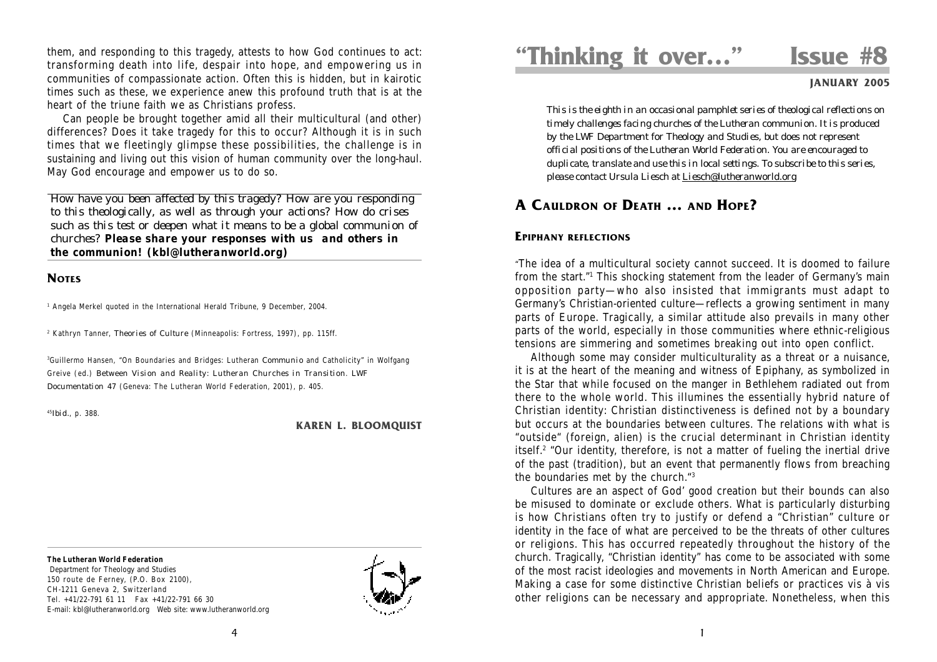them, and responding to this tragedy, attests to how God continues to act: transforming death into life, despair into hope, and empowering us in communities of compassionate action. Often this is hidden, but in kairotic times such as these, we experience anew this profound truth that is at the heart of the triune faith we as Christians profess.

Can people be brought together amid all their multicultural (and other) differences? Does it take tragedy for this to occur? Although it is in such times that we fleetingly glimpse these possibilities, the challenge is in sustaining and living out this vision of human community over the long-haul. May God encourage and empower us to do so.

*How have you been affected by this tragedy? How are you responding to this theologically, as well as through your actions? How do crises such as this test or deepen what it means to be a global communion of churches? Please share your responses with us and others in the communion! (kbl@lutheranworld.org)*

## **NOTES**

1 Angela Merkel quoted in the International Herald Tribune, 9 December, 2004.

2 Kathryn Tanner, *Theories of Culture* (Minneapolis: Fortress, 1997), pp. 115ff.

3 Guillermo Hansen, "On Boundaries and Bridges: Lutheran *Communio* and Catholicity" in Wolfgang Greive (ed.) *Between Vision and Reality: Lutheran Churches in Transition*. *LWF Documentation 47* (Geneva: The Lutheran World Federation, 2001), p. 405.

<sup>45</sup>*Ibid.*, p. 388.

#### **KAREN L. BLOOMQUIST**

**The Lutheran World Federation**

 Department for Theology and Studies 150 route de Ferney, (P.O. Box 2100), CH-1211 Geneva 2, Switzerland Tel. +41/22-791 61 11 Fax +41/22-791 66 30 E-mail: kbl@lutheranworld.org Web site: www.lutheranworld.org



# **"Thinking it over…" Issue #8**

**JANUARY 2005**

*This is the eighth in an occasional pamphlet series of theological reflections on timely challenges facing churches of the Lutheran communion. It is produced by the LWF Department for Theology and Studies, but does not represent official positions of the Lutheran World Federation. You are encouraged to duplicate, translate and use this in local settings. To subscribe to this series, please contact Ursula Liesch at Liesch@lutheranworld.org*

## **A CAULDRON OF DEATH … AND HOPE?**

### **EPIPHANY REFLECTIONS**

"The idea of a multicultural society cannot succeed. It is doomed to failure from the start."1 This shocking statement from the leader of Germany's main opposition party—who also insisted that immigrants must adapt to Germany's Christian-oriented culture—reflects a growing sentiment in many parts of Europe. Tragically, a similar attitude also prevails in many other parts of the world, especially in those communities where ethnic-religious tensions are simmering and sometimes breaking out into open conflict.

Although some may consider multiculturality as a threat or a nuisance, it is at the heart of the meaning and witness of Epiphany, as symbolized in the Star that while focused on the manger in Bethlehem radiated out from there to the whole world. This illumines the essentially hybrid nature of Christian identity: Christian distinctiveness is defined not by a boundary but occurs at the boundaries between cultures. The relations with what is "outside" (foreign, alien) is the crucial determinant in Christian identity itself.2 "Our identity, therefore, is not a matter of fueling the inertial drive of the past (tradition), but an event that permanently flows from breaching the boundaries met by the church."3

Cultures are an aspect of God' good creation but their bounds can also be misused to dominate or exclude others. What is particularly disturbing is how Christians often try to justify or defend a "Christian" culture or identity in the face of what are perceived to be the threats of other cultures or religions. This has occurred repeatedly throughout the history of the church. Tragically, "Christian identity" has come to be associated with some of the most racist ideologies and movements in North American and Europe. Making a case for some distinctive Christian beliefs or practices vis à vis other religions can be necessary and appropriate. Nonetheless, when this